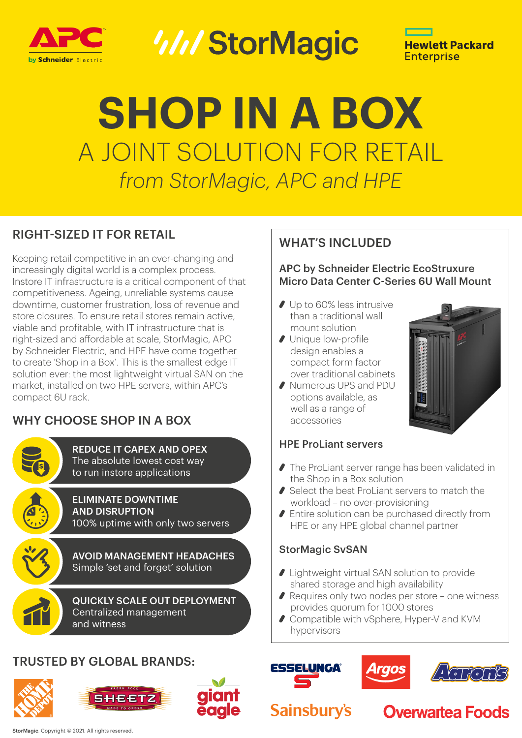

*WIStorMagic* 



# **SHOP IN A BOX** A JOINT SOLUTION FOR RETAIL *from StorMagic, APC and HPE*

#### RIGHT-SIZED IT FOR RETAIL

Keeping retail competitive in an ever-changing and increasingly digital world is a complex process. Instore IT infrastructure is a critical component of that competitiveness. Ageing, unreliable systems cause downtime, customer frustration, loss of revenue and store closures. To ensure retail stores remain active, viable and profitable, with IT infrastructure that is right-sized and affordable at scale, StorMagic, APC by Schneider Electric, and HPE have come together to create 'Shop in a Box'. This is the smallest edge IT solution ever: the most lightweight virtual SAN on the market, installed on two HPE servers, within APC's compact 6U rack.

#### WHY CHOOSE SHOP IN A BOX

REDUCE IT CAPEX AND OPEX The absolute lowest cost way to run instore applications



ELIMINATE DOWNTIME AND DISRUPTION 100% uptime with only two servers

AVOID MANAGEMENT HEADACHES Simple 'set and forget' solution

QUICKLY SCALE OUT DEPLOYMENT Centralized management and witness

#### TRUSTED BY GLOBAL BRANDS:





#### WHAT'S INCLUDED

APC by Schneider Electric EcoStruxure Micro Data Center C-Series 6U Wall Mount

- Up to 60% less intrusive than a traditional wall mount solution
- Unique low-profile design enables a compact form factor over traditional cabinets
- Numerous UPS and PDU options available, as well as a range of accessories



#### HPE ProLiant servers

- The ProLiant server range has been validated in the Shop in a Box solution
- Select the best ProLiant servers to match the workload – no over-provisioning
- Entire solution can be purchased directly from HPE or any HPE global channel partner

#### StorMagic SvSAN

- Lightweight virtual SAN solution to provide shared storage and high availability
- ◆ Requires only two nodes per store one witness provides quorum for 1000 stores
- Compatible with vSphere, Hyper-V and KVM hypervisors







### **Sainsbury's**